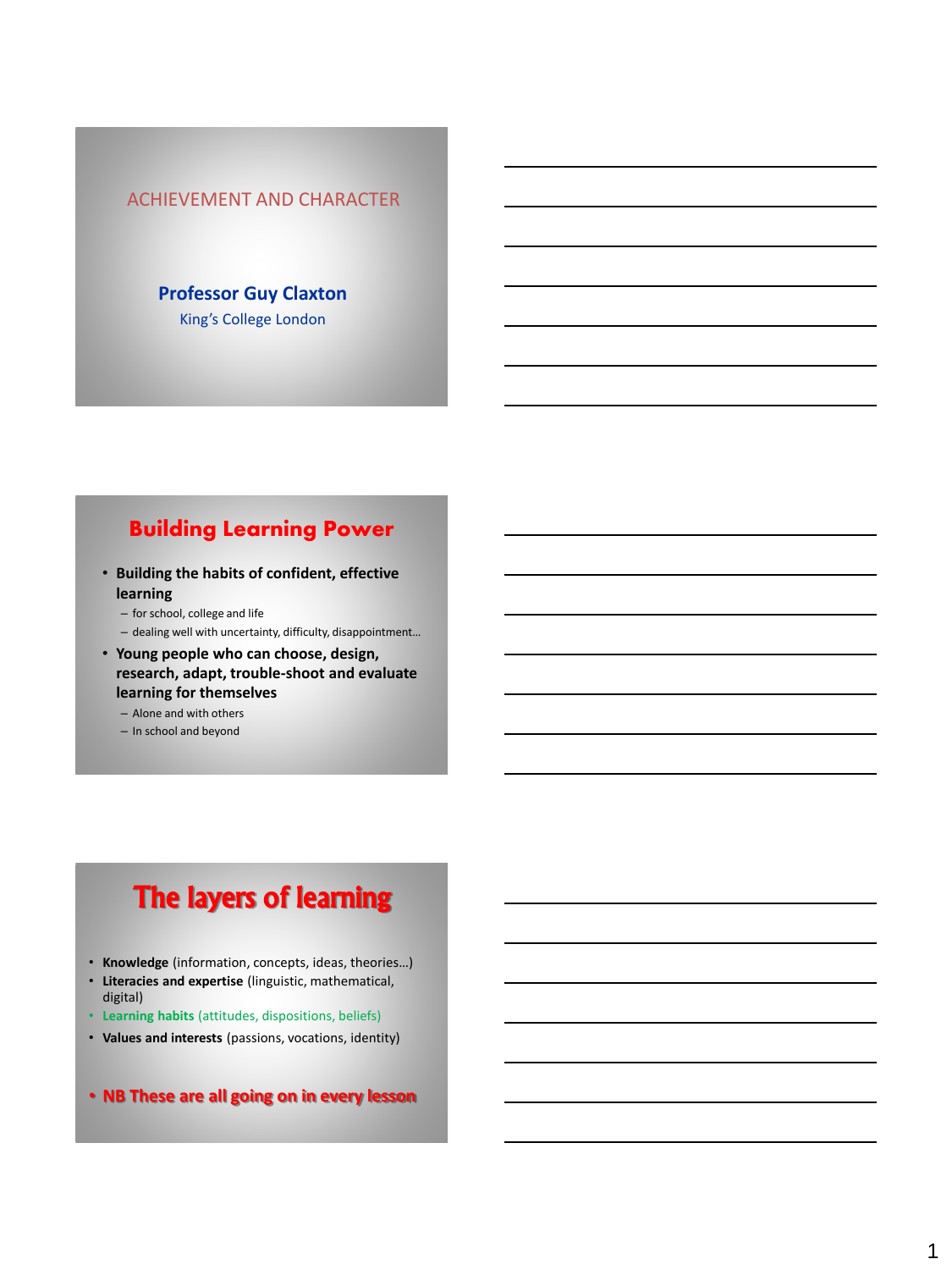#### ACHIEVEMENT AND CHARACTER

### **Professor Guy Claxton** King's College London

## Building Learning Power

- **Building the habits of confident, effective learning**
	- for school, college and life
	- dealing well with uncertainty, difficulty, disappointment…
- **Young people who can choose, design, research, adapt, trouble-shoot and evaluate learning for themselves**
	- Alone and with others
	- In school and beyond

# The layers of learning

- **Knowledge** (information, concepts, ideas, theories…)
- **Literacies and expertise** (linguistic, mathematical, digital)
- **Learning habits** (attitudes, dispositions, beliefs)
- **Values and interests** (passions, vocations, identity)
- **NB These are all going on in every lesson**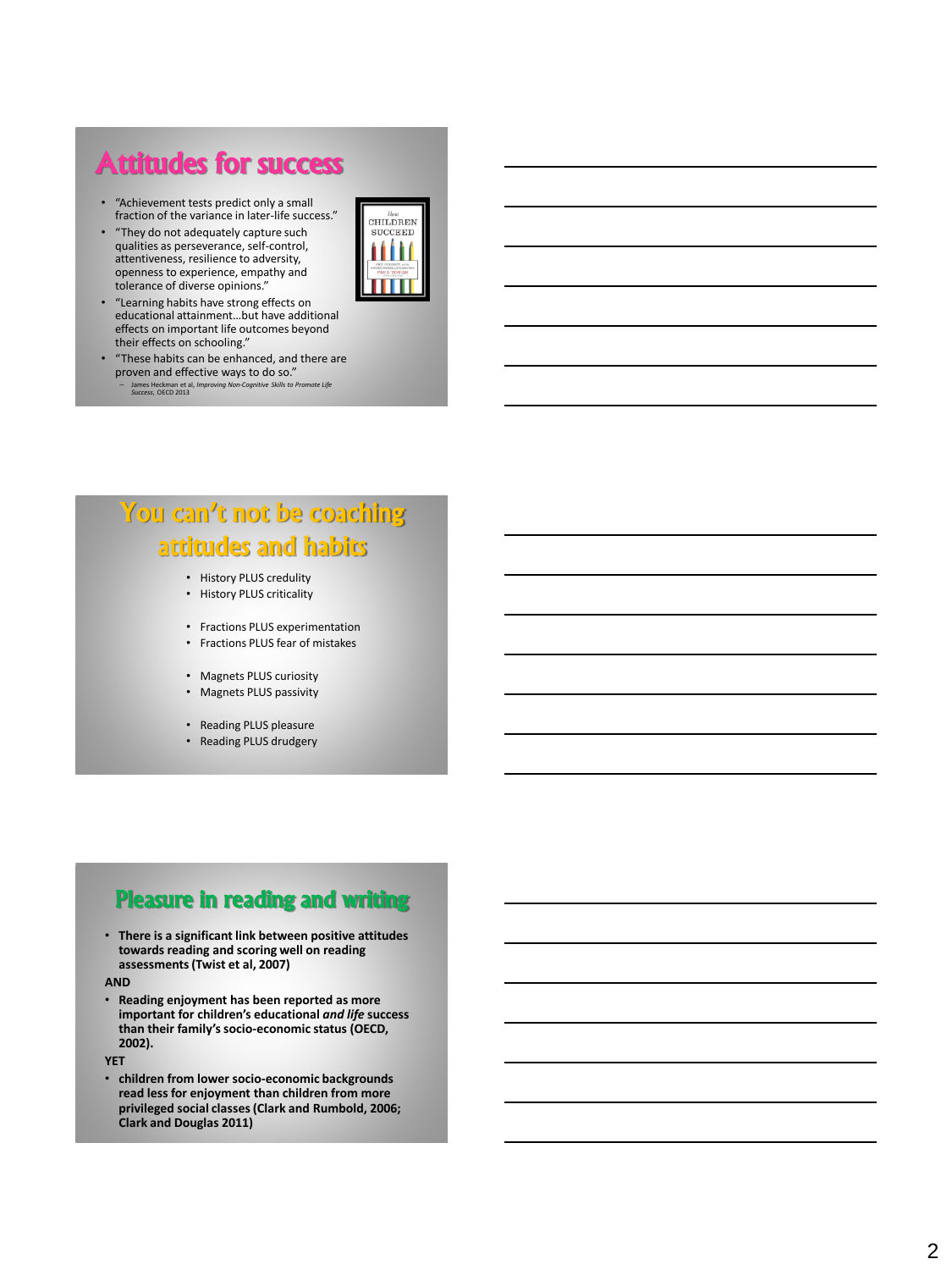# Attitudes for success

• "Achievement tests predict only a small fraction of the variance in later -life success." • "They do not adequately capture such

qualities as perseverance, self -control, attentiveness, resilience to adversity, openness to experience, empathy and



- tolerance of diverse opinions." • "Learning habits have strong effects on educational attainment…but have additional effects on important life outcomes beyond their effects on schooling."
- "These habits can be enhanced, and there are proven and effective ways to do so."<br> $=$  James Heckman et al. *Improving Non-Consitive Skills to Brom* 
	- James Heckman et al, *Improving Non-Cognitive Skills to Promote Life Success*, OECD 2013

# You can't not be coaching attitudes and habits

- History PLUS credulity
- History PLUS criticality

• Fractions PLUS experimentation

- Fractions PLUS fear of mistakes
- Magnets PLUS curiosity
- Magnets PLUS passivity
- Reading PLUS pleasure
- Reading PLUS drudgery

# Pleasure in reading and writing

• **There is a significant link between positive attitudes towards reading and scoring well on reading assessments (Twist et al, 2007)**

**AND**

• **Reading enjoyment has been reported as more important for children's educational** *and life* **success than their family's socio -economic status (OECD, 2002).**

**YET**

**•** children from lower socio-economic backgrounds **read less for enjoyment than children from more privileged social classes (Clark and Rumbold, 2006; Clark and Douglas 2011)**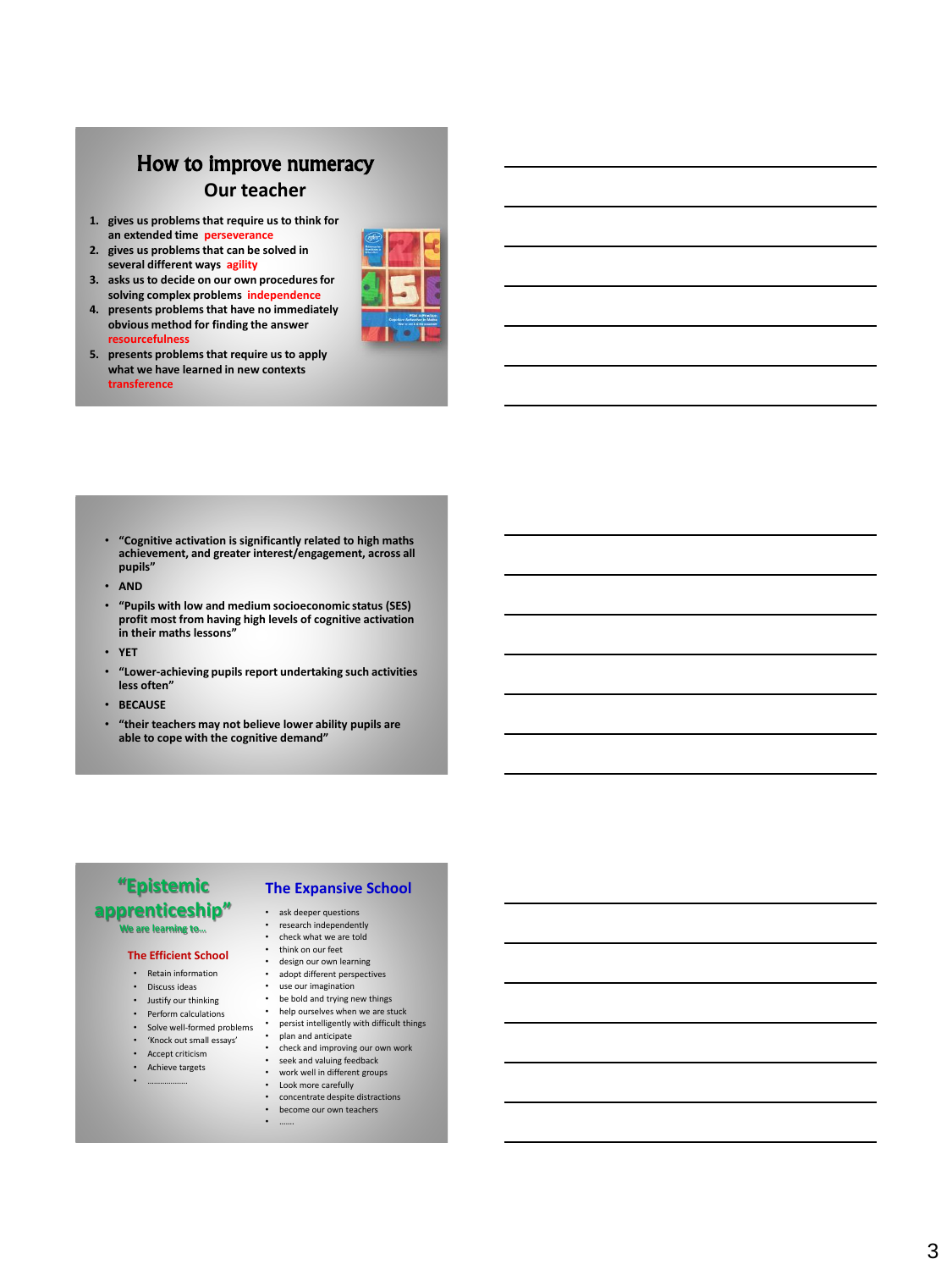# How to improve numeracy **Our teacher**

- **1. gives us problems that require us to think for an extended time perseverance**
- **2. gives us problems that can be solved in several different ways agility**
- **3. asks us to decide on our own procedures for solving complex problems independence**
- **4. presents problems that have no immediately obvious method for finding the answer resourcefulness**
- 
- **5. presents problems that require us to apply what we have learned in new contexts transference**

- **"Cognitive activation is significantly related to high maths achievement, and greater interest/engagement, across all pupils"**
- **AND**
- **"Pupils with low and medium socioeconomic status (SES) profit most from having high levels of cognitive activation in their maths lessons"**
- **YET**
- **"Lower -achieving pupils report undertaking such activities less often"**
- **BECAUSE**
- **"their teachers may not believe lower ability pupils are able to cope with the cognitive demand"**

#### **"Epistemic apprenticeship" We are learning to…**

#### **The Efficient School**

- Retain information
- Discuss ideas
- Justify our thinking
- Perform calculations
- Solve well-formed problems
- 'Knock out small essays'
- Accept criticism
- Achieve targets
- ……………….
- **The Expansive School**
- ask deeper questions
- research independently
- check what we are told<br>• think on our feet think on our feet
- 
- design our own learning • adopt different perspectives
- use our imagination
- 
- be bold and trying new things • help ourselves when we are stuck<br>• nersist intelligently with difficult the
- persist intelligently with difficult things<br>• plan and anticipate
- plan and anticipate • check and improving our own work
- seek and valuing feedback
- work well in different groups • Look more carefully
- concentrate despite distractions
- become our own teachers
- …….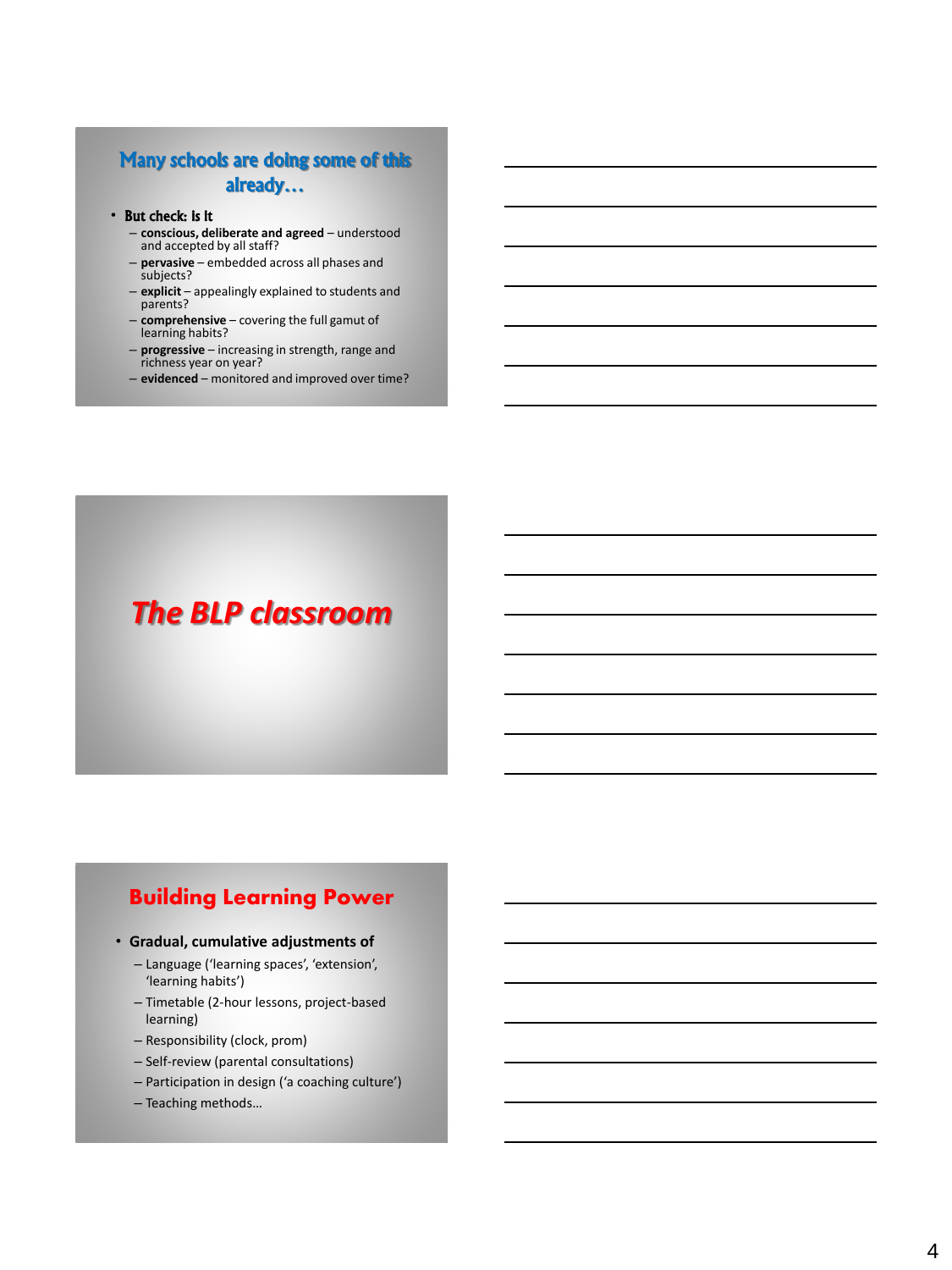## Many schools are doing some of this already…

#### • But check: is it

- **conscious, deliberate and agreed** understood and accepted by all staff?
- **pervasive** embedded across all phases and subjects?
- **explicit** appealingly explained to students and parents?
- **comprehensive** covering the full gamut of learning habits?
- **progressive** increasing in strength, range and richness year on year?
- **evidenced** monitored and improved over time?

# *The BLP classroom*

# Building Learning Power

#### • **Gradual, cumulative adjustments of**

- Language ('learning spaces', 'extension', 'learning habits')
- Timetable (2-hour lessons, project-based learning)
- Responsibility (clock, prom)
- Self-review (parental consultations)
- Participation in design ('a coaching culture')
- Teaching methods…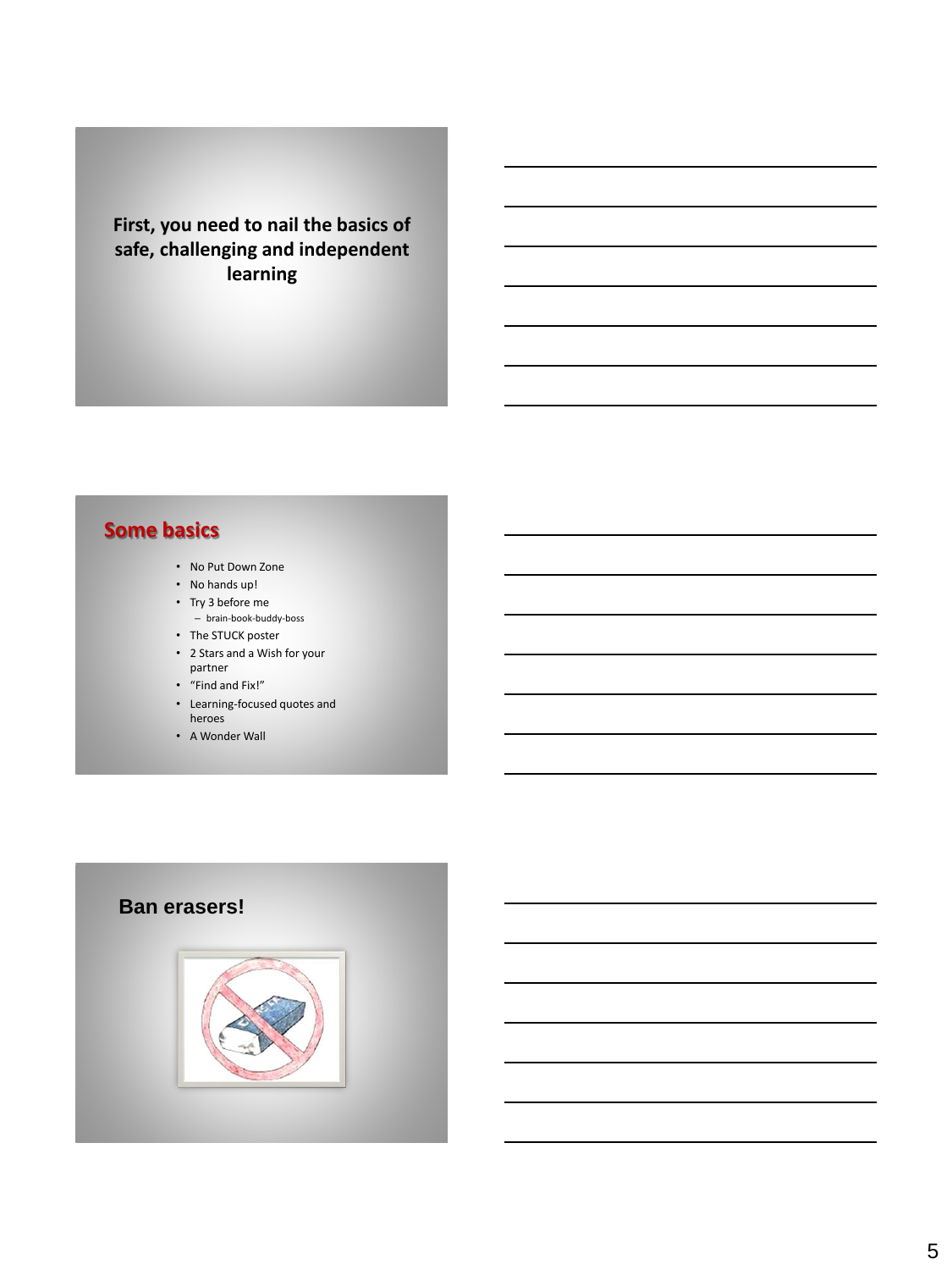## **First, you need to nail the basics of safe, challenging and independent learning**

# **Some basics**

- No Put Down Zone
- No hands up!
- Try 3 before me
- brain-book-buddy-boss
- The STUCK poster
- 2 Stars and a Wish for your partner
- "Find and Fix!"
- Learning-focused quotes and heroes
- A Wonder Wall

# **Ban erasers!**

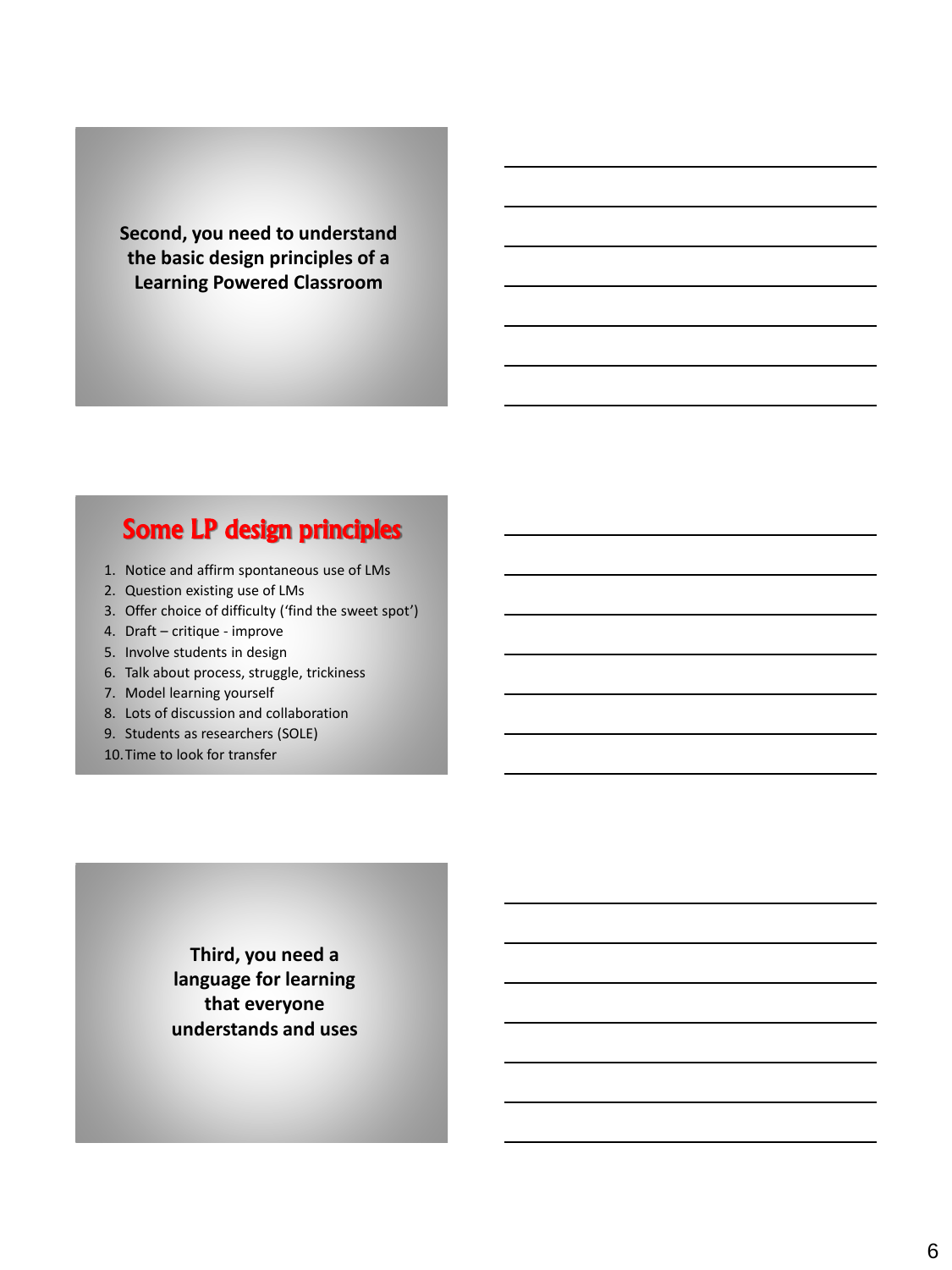**Second, you need to understand the basic design principles of a Learning Powered Classroom**

# Some LP design principles

- 1. Notice and affirm spontaneous use of LMs
- 2. Question existing use of LMs
- 3. Offer choice of difficulty ('find the sweet spot')
- 4. Draft critique improve
- 5. Involve students in design
- 6. Talk about process, struggle, trickiness
- 7. Model learning yourself
- 8. Lots of discussion and collaboration
- 9. Students as researchers (SOLE)
- 10.Time to look for transfer

**Third, you need a language for learning that everyone understands and uses**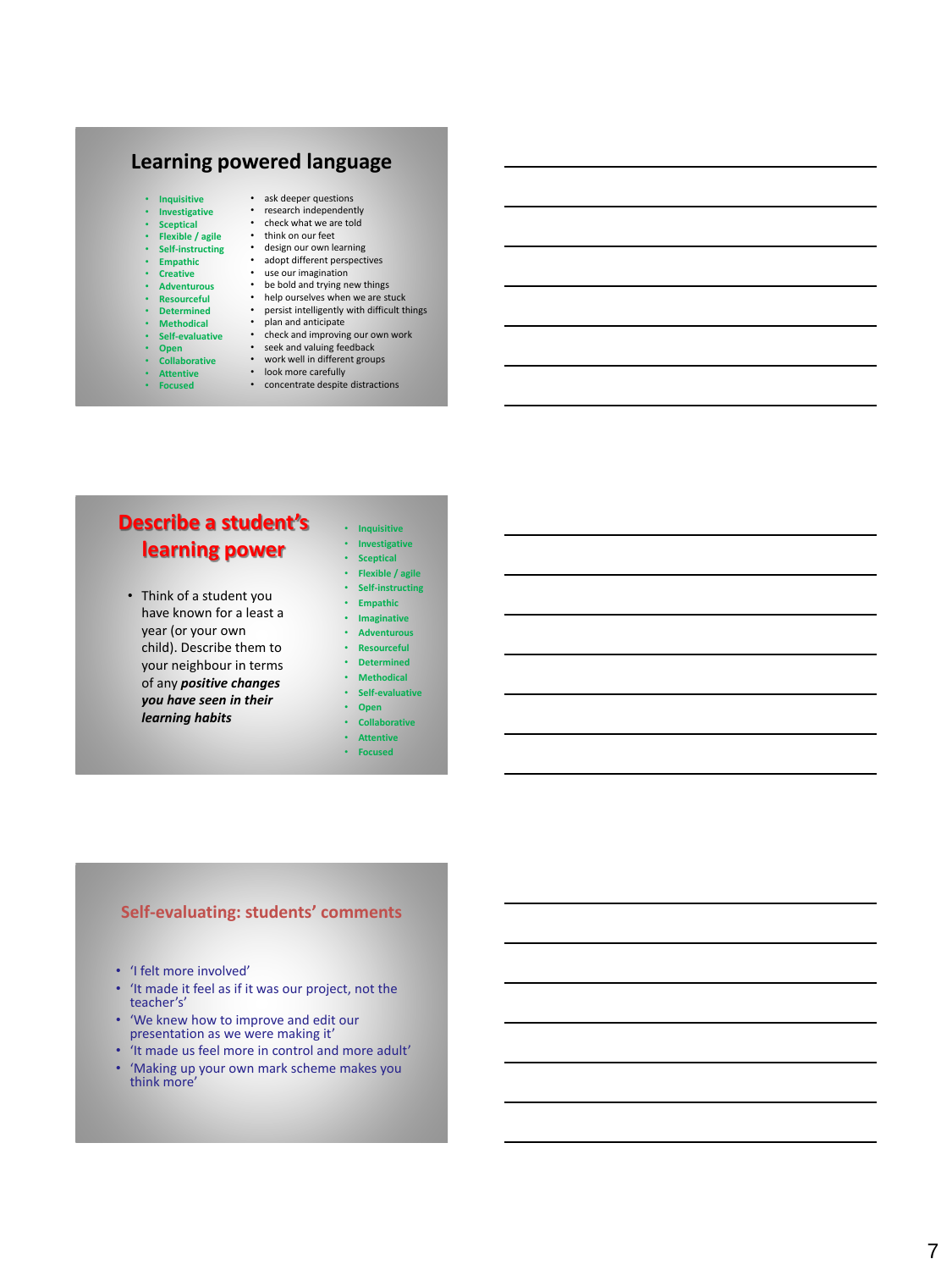## **Learning powered language**

- **Inquisitive**
- **Investigative**
- **Sceptical**
- **Flexible / agile**
- **Self-instructing** • **Empathic**
- 
- **Creative**
- **Adventurous**
- **Resourceful** • **Determined**
- 
- **Methodical**
- **Self-evaluative**
- **Open**
- **Collaborative** • **Attentive**
- 
- 
- 
- 
- 
- 
- -
- 
- ask deeper questions<br>• research independently<br>• check what we are told<br>• think on our feet<br>• design our own learning<br>• adopt different perspectives<br>• use our imagination<br>• be bold and trying new things<br>• help ourselves w
	-
	-
	-
- 
- 

## **Describe a student's learning power**

- Think of a student you have known for a least a year (or your own child). Describe them to your neighbour in terms of any *positive changes you have seen in their learning habits*
- **Inquisitive** • **Investigative**
- **Sceptical**
- **Flexible / agile**
- **Self-instructing**
- **Empathic** • **Imaginative**
- **Adventurous**
- **Resourceful**
- **Determined**
- **Methodical**
- **Self-evaluative**
- **Open** • **Collaborative**
- **Attentive**
- **Focused**

#### **Self -evaluating: students' comments**

- 'I felt more involved'
- 'It made it feel as if it was our project, not the teacher's'
- 'We knew how to improve and edit our presentation as we were making it'
- 'It made us feel more in control and more adult'
- 'Making up your own mark scheme makes you think more'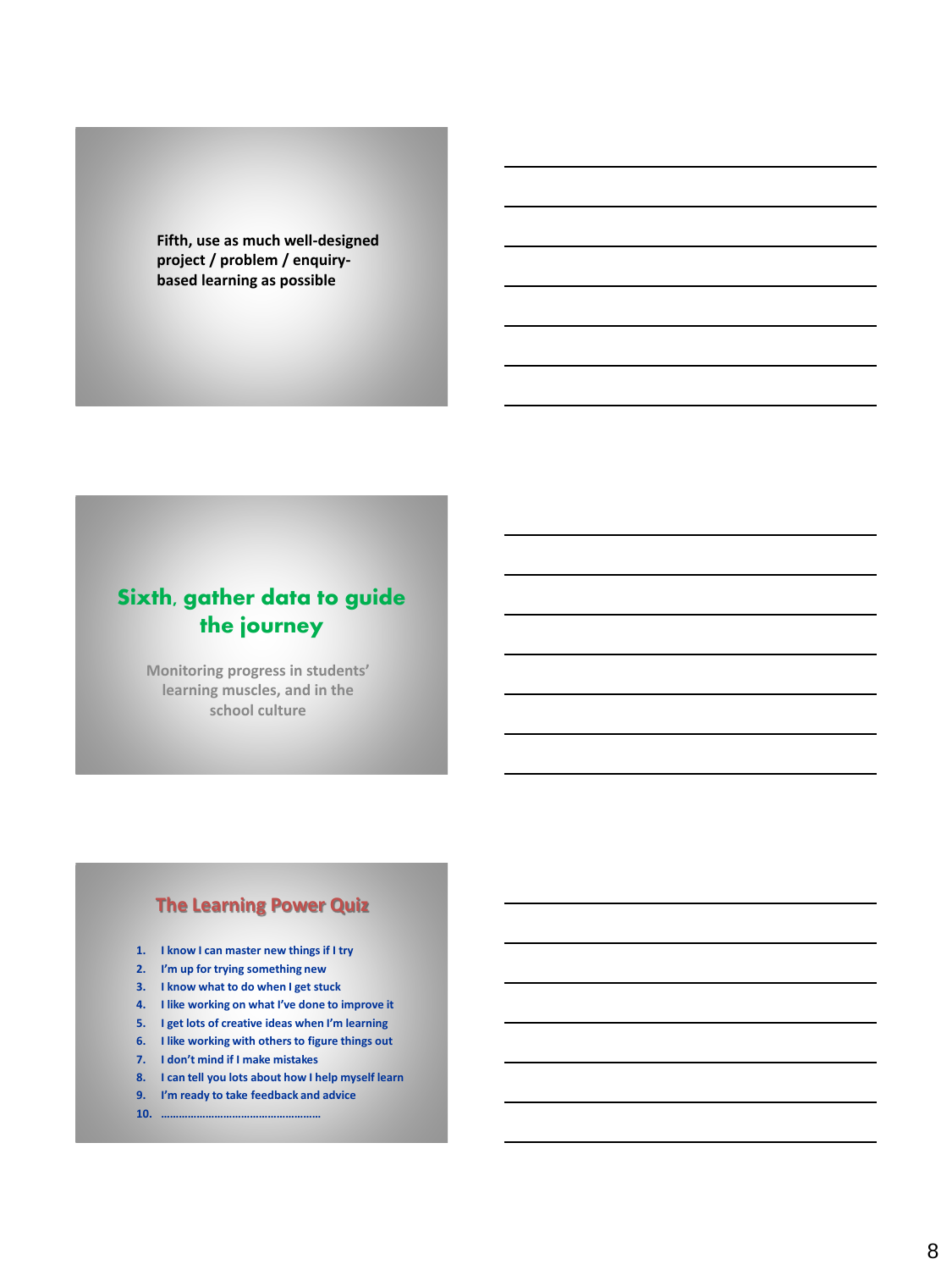**Fifth, use as much well-designed project / problem / enquirybased learning as possible**

# Sixth, gather data to guide the journey

**Monitoring progress in students' learning muscles, and in the school culture**

### **The Learning Power Quiz**

- **1. I know I can master new things if I try**
- **2. I'm up for trying something new**
- **3. I know what to do when I get stuck**
- **4. I like working on what I've done to improve it**
- **5. I get lots of creative ideas when I'm learning**
- **6. I like working with others to figure things out**
- **7. I don't mind if I make mistakes**
- **8. I can tell you lots about how I help myself learn**
- **9. I'm ready to take feedback and advice**
- **10. ………………………………………………**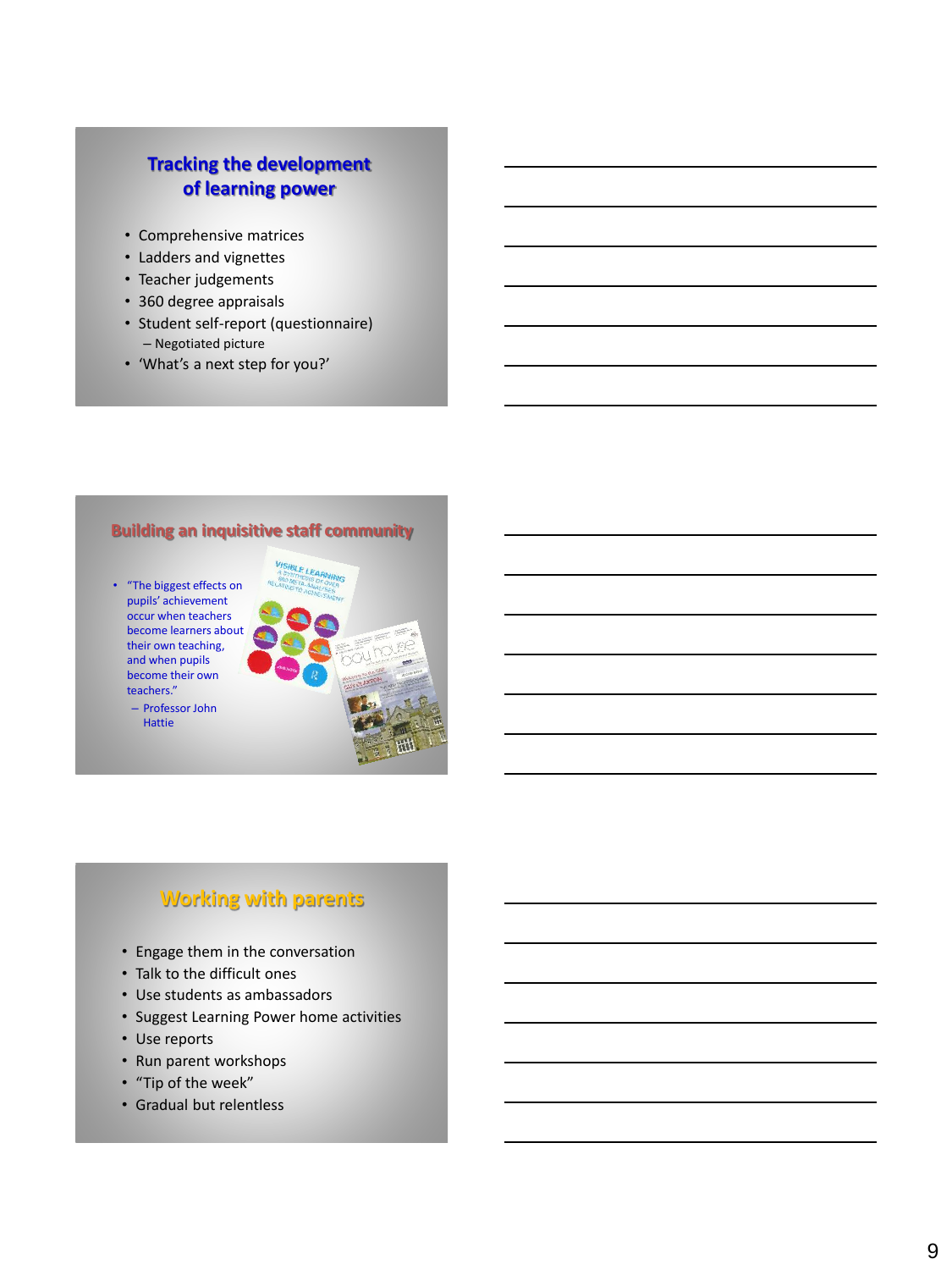### **Tracking the development of learning power**

- Comprehensive matrices
- Ladders and vignettes
- Teacher judgements
- 360 degree appraisals
- Student self-report (questionnaire) – Negotiated picture
- 'What's a next step for you?'

#### **Building an inquisitive staff community**

- "The biggest effects on pupils' achievement occur when teachers become learners about their own teaching, and when pupils become their own teachers."
	- Professor John Hattie



# **Working with parents**

- Engage them in the conversation
- Talk to the difficult ones
- Use students as ambassadors
- Suggest Learning Power home activities
- Use reports
- Run parent workshops
- "Tip of the week"
- Gradual but relentless